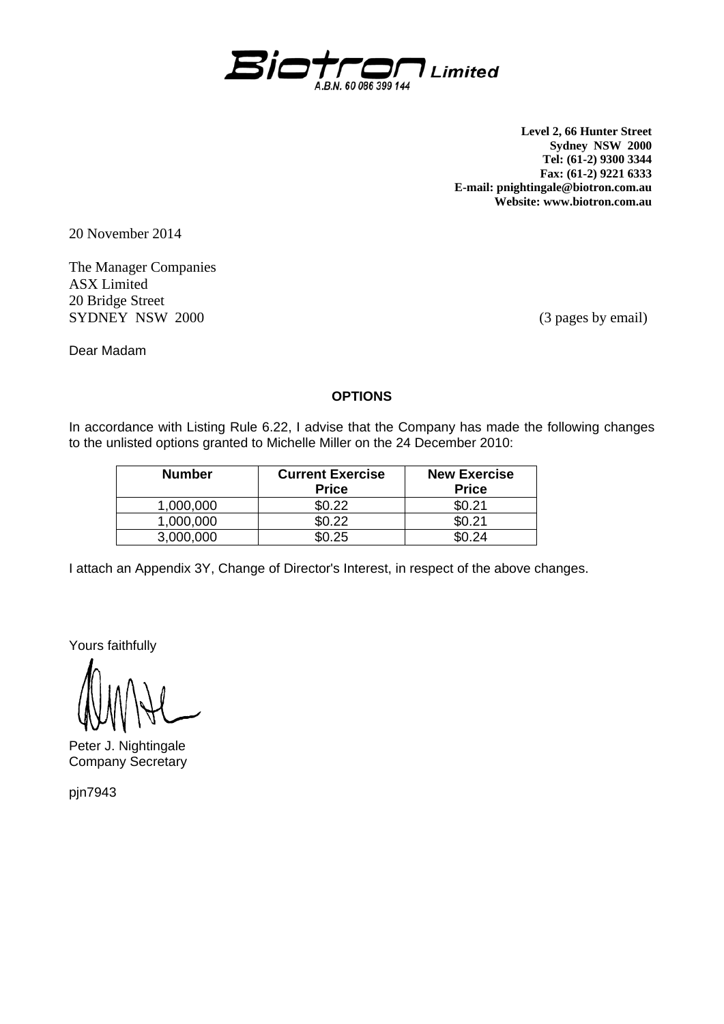

**Level 2, 66 Hunter Street Sydney NSW 2000 Tel: (61-2) 9300 3344 Fax: (61-2) 9221 6333 E-mail: pnightingale@biotron.com.au Website: www.biotron.com.au** 

20 November 2014

The Manager Companies ASX Limited 20 Bridge Street SYDNEY NSW 2000 (3 pages by email)

Dear Madam

### **OPTIONS**

In accordance with Listing Rule 6.22, I advise that the Company has made the following changes to the unlisted options granted to Michelle Miller on the 24 December 2010:

| <b>Number</b> | <b>Current Exercise</b><br><b>Price</b> | <b>New Exercise</b><br><b>Price</b> |
|---------------|-----------------------------------------|-------------------------------------|
| 1,000,000     | \$0.22                                  | \$0.21                              |
| 1,000,000     | ኔ0.22                                   | ነበ 21                               |
| 3,000,000     | 60.25                                   |                                     |

I attach an Appendix 3Y, Change of Director's Interest, in respect of the above changes.

Yours faithfully

Peter J. Nightingale Company Secretary

pjn7943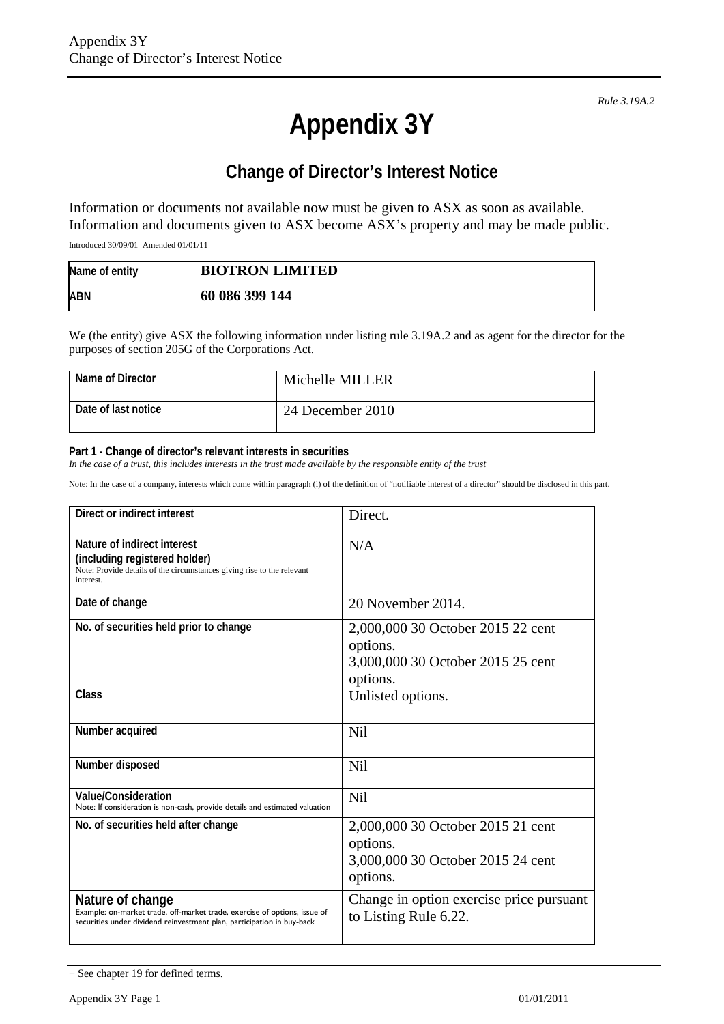*Rule 3.19A.2*

# **Appendix 3Y**

# **Change of Director's Interest Notice**

Information or documents not available now must be given to ASX as soon as available. Information and documents given to ASX become ASX's property and may be made public.

Introduced 30/09/01 Amended 01/01/11

| Name of entity | <b>BIOTRON LIMITED</b> |
|----------------|------------------------|
| ABN            | 60 086 399 144         |

We (the entity) give ASX the following information under listing rule 3.19A.2 and as agent for the director for the purposes of section 205G of the Corporations Act.

| Name of Director    | Michelle MILLER  |
|---------------------|------------------|
| Date of last notice | 24 December 2010 |

#### **Part 1 - Change of director's relevant interests in securities**

In the case of a trust, this includes interests in the trust made available by the responsible entity of the trust

Note: In the case of a company, interests which come within paragraph (i) of the definition of "notifiable interest of a director" should be disclosed in this part.

| Direct or indirect interest                                                                                                                                             | Direct.                                                                                        |
|-------------------------------------------------------------------------------------------------------------------------------------------------------------------------|------------------------------------------------------------------------------------------------|
| Nature of indirect interest<br>(including registered holder)<br>Note: Provide details of the circumstances giving rise to the relevant<br>interest.                     | N/A                                                                                            |
| Date of change                                                                                                                                                          | 20 November 2014.                                                                              |
| No. of securities held prior to change                                                                                                                                  | 2,000,000 30 October 2015 22 cent<br>options.<br>3,000,000 30 October 2015 25 cent<br>options. |
| Class                                                                                                                                                                   | Unlisted options.                                                                              |
| Number acquired                                                                                                                                                         | Nil                                                                                            |
| Number disposed                                                                                                                                                         | Nil                                                                                            |
| <b>Value/Consideration</b><br>Note: If consideration is non-cash, provide details and estimated valuation                                                               | <b>Nil</b>                                                                                     |
| No. of securities held after change                                                                                                                                     | 2,000,000 30 October 2015 21 cent<br>options.<br>3,000,000 30 October 2015 24 cent<br>options. |
| Nature of change<br>Example: on-market trade, off-market trade, exercise of options, issue of<br>securities under dividend reinvestment plan, participation in buy-back | Change in option exercise price pursuant<br>to Listing Rule 6.22.                              |

<sup>+</sup> See chapter 19 for defined terms.